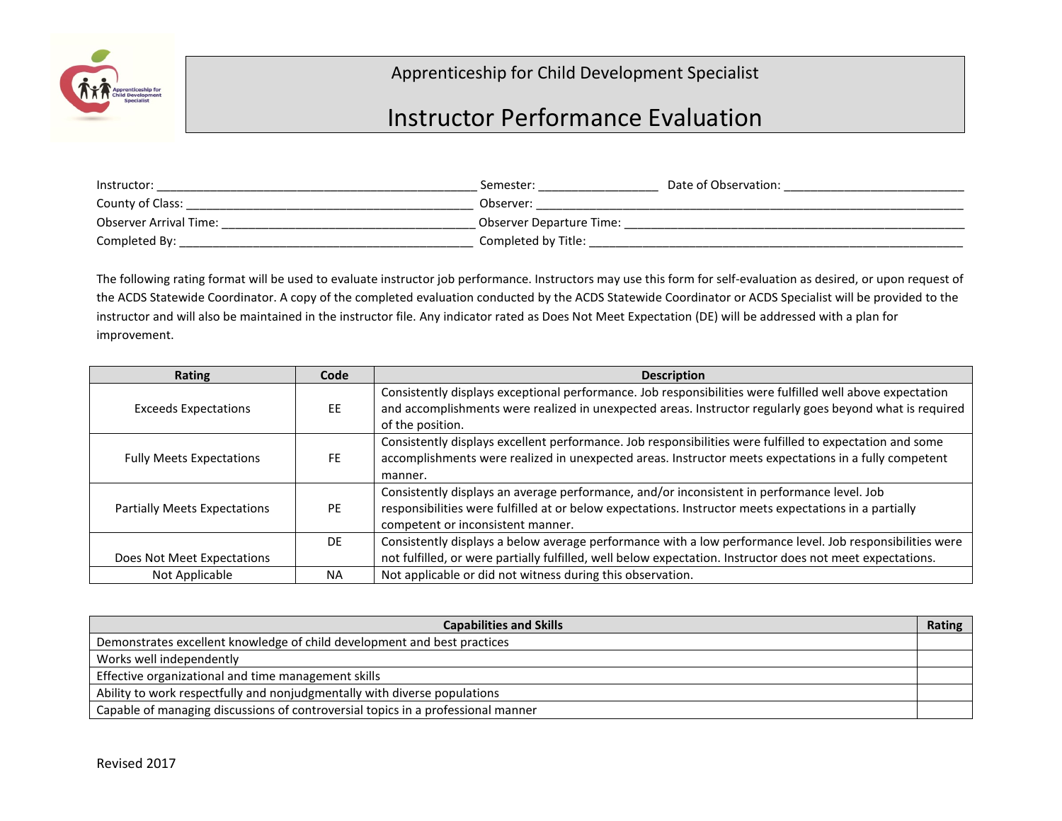

## Apprenticeship for Child Development Specialist

## Instructor Performance Evaluation

| Instructor:            | Semester:                       | Date of Observation: |
|------------------------|---------------------------------|----------------------|
| County of Class:       | Observer:                       |                      |
| Observer Arrival Time: | <b>Observer Departure Time:</b> |                      |
| Completed By:          | Completed by Title:             |                      |

The following rating format will be used to evaluate instructor job performance. Instructors may use this form for self-evaluation as desired, or upon request of the ACDS Statewide Coordinator. A copy of the completed evaluation conducted by the ACDS Statewide Coordinator or ACDS Specialist will be provided to the instructor and will also be maintained in the instructor file. Any indicator rated as Does Not Meet Expectation (DE) will be addressed with a plan for improvement.

| Rating                              | Code      | <b>Description</b>                                                                                         |
|-------------------------------------|-----------|------------------------------------------------------------------------------------------------------------|
|                                     |           | Consistently displays exceptional performance. Job responsibilities were fulfilled well above expectation  |
| <b>Exceeds Expectations</b>         | EE        | and accomplishments were realized in unexpected areas. Instructor regularly goes beyond what is required   |
|                                     |           | of the position.                                                                                           |
|                                     |           | Consistently displays excellent performance. Job responsibilities were fulfilled to expectation and some   |
| <b>Fully Meets Expectations</b>     | FE        | accomplishments were realized in unexpected areas. Instructor meets expectations in a fully competent      |
|                                     |           | manner.                                                                                                    |
|                                     |           | Consistently displays an average performance, and/or inconsistent in performance level. Job                |
| <b>Partially Meets Expectations</b> | PE        | responsibilities were fulfilled at or below expectations. Instructor meets expectations in a partially     |
|                                     |           | competent or inconsistent manner.                                                                          |
|                                     | DF.       | Consistently displays a below average performance with a low performance level. Job responsibilities were  |
| Does Not Meet Expectations          |           | not fulfilled, or were partially fulfilled, well below expectation. Instructor does not meet expectations. |
| Not Applicable                      | <b>NA</b> | Not applicable or did not witness during this observation.                                                 |

| <b>Capabilities and Skills</b>                                                   | Rating |
|----------------------------------------------------------------------------------|--------|
| Demonstrates excellent knowledge of child development and best practices         |        |
| Works well independently                                                         |        |
| Effective organizational and time management skills                              |        |
| Ability to work respectfully and nonjudgmentally with diverse populations        |        |
| Capable of managing discussions of controversial topics in a professional manner |        |
|                                                                                  |        |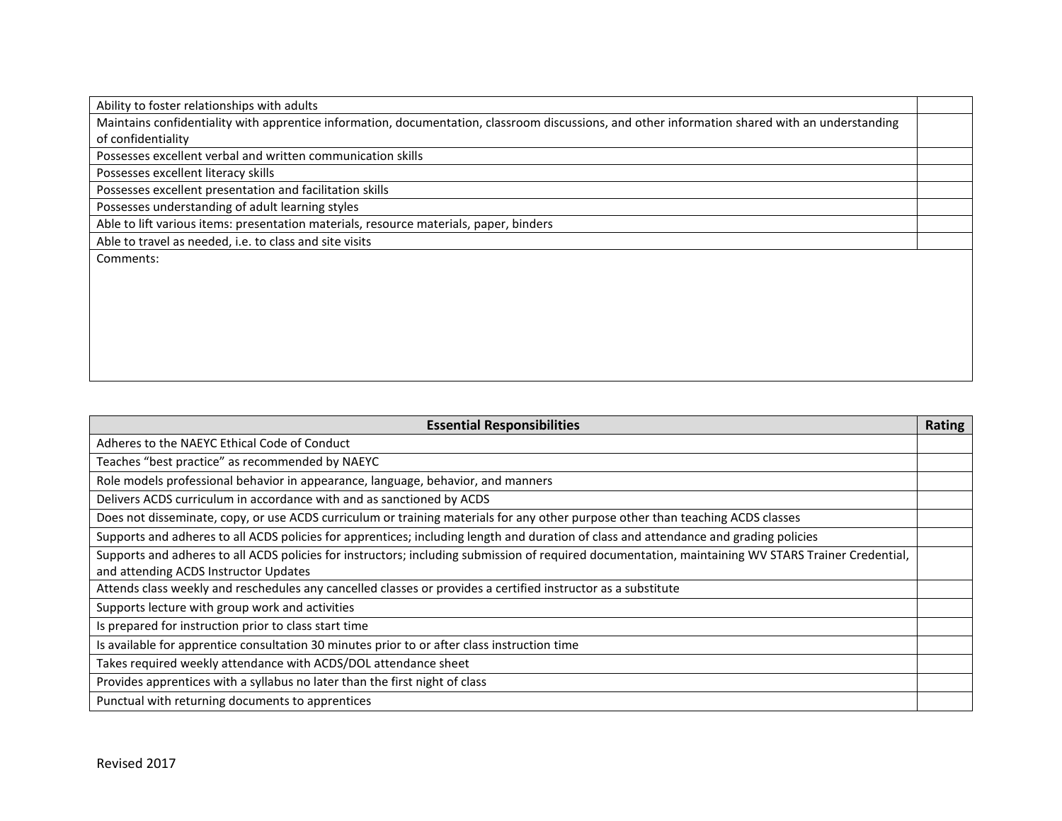Ability to foster relationships with adults

Maintains confidentiality with apprentice information, documentation, classroom discussions, and other information shared with an understanding of confidentiality

Possesses excellent verbal and written communication skills

Possesses excellent literacy skills

Possesses excellent presentation and facilitation skills

Possesses understanding of adult learning styles

Able to lift various items: presentation materials, resource materials, paper, binders

Able to travel as needed, i.e. to class and site visits

Comments:

| <b>Essential Responsibilities</b>                                                                                                                   | Rating |
|-----------------------------------------------------------------------------------------------------------------------------------------------------|--------|
| Adheres to the NAEYC Ethical Code of Conduct                                                                                                        |        |
| Teaches "best practice" as recommended by NAEYC                                                                                                     |        |
| Role models professional behavior in appearance, language, behavior, and manners                                                                    |        |
| Delivers ACDS curriculum in accordance with and as sanctioned by ACDS                                                                               |        |
| Does not disseminate, copy, or use ACDS curriculum or training materials for any other purpose other than teaching ACDS classes                     |        |
| Supports and adheres to all ACDS policies for apprentices; including length and duration of class and attendance and grading policies               |        |
| Supports and adheres to all ACDS policies for instructors; including submission of required documentation, maintaining WV STARS Trainer Credential, |        |
| and attending ACDS Instructor Updates                                                                                                               |        |
| Attends class weekly and reschedules any cancelled classes or provides a certified instructor as a substitute                                       |        |
| Supports lecture with group work and activities                                                                                                     |        |
| Is prepared for instruction prior to class start time                                                                                               |        |
| Is available for apprentice consultation 30 minutes prior to or after class instruction time                                                        |        |
| Takes required weekly attendance with ACDS/DOL attendance sheet                                                                                     |        |
| Provides apprentices with a syllabus no later than the first night of class                                                                         |        |
| Punctual with returning documents to apprentices                                                                                                    |        |